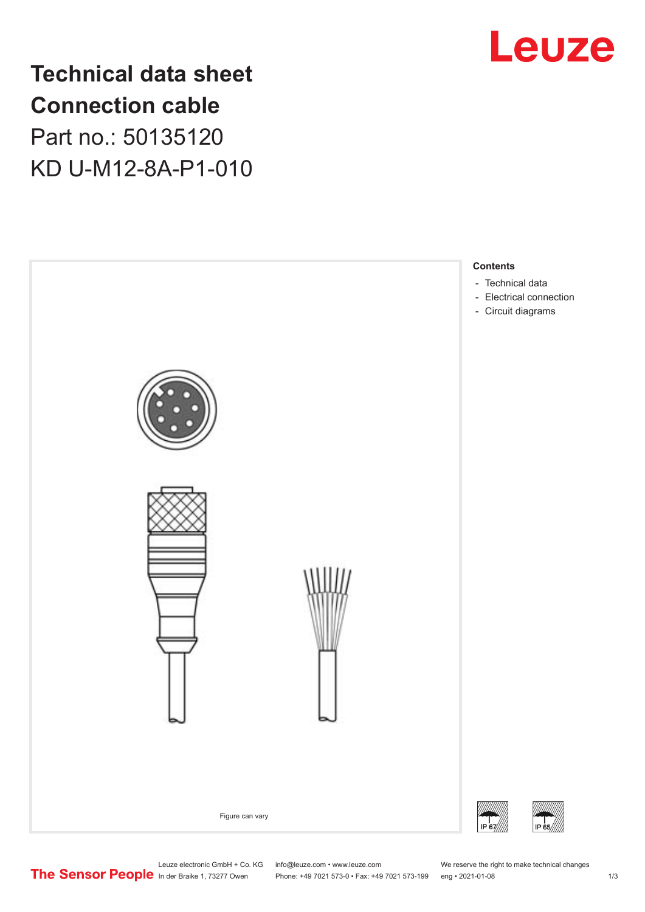

## **Technical data sheet Connection cable** Part no.: 50135120 KD U-M12-8A-P1-010



Phone: +49 7021 573-0 • Fax: +49 7021 573-199 eng • 2021-01-08 1 2021

Leuze electronic GmbH + Co. KG info@leuze.com • www.leuze.com We reserve the right to make technical changes<br>
The Sensor People in der Braike 1, 73277 Owen Phone: +49 7021 573-0 • Fax: +49 7021 573-199 eng • 2021-01-08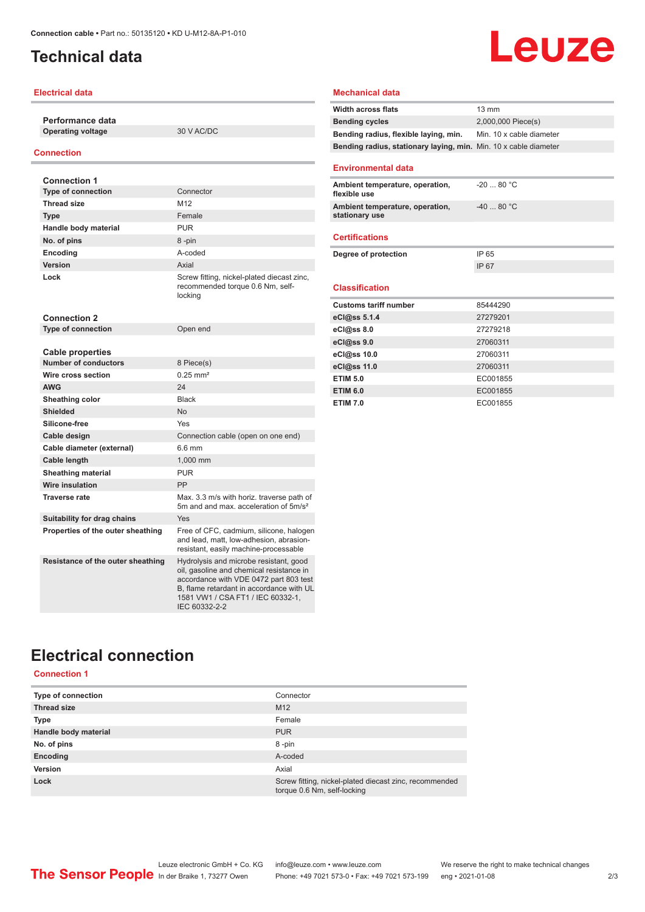## <span id="page-1-0"></span>**Technical data**

#### **Electrical data**

**Performance data**

**Operating voltage** 30 V AC/DC

#### **Connection**

| <b>Connection 1</b>               |                                                                                                                                                                                                                                |
|-----------------------------------|--------------------------------------------------------------------------------------------------------------------------------------------------------------------------------------------------------------------------------|
| <b>Type of connection</b>         | Connector                                                                                                                                                                                                                      |
| <b>Thread size</b>                | M <sub>12</sub>                                                                                                                                                                                                                |
| <b>Type</b>                       | Female                                                                                                                                                                                                                         |
| Handle body material              | <b>PUR</b>                                                                                                                                                                                                                     |
| No. of pins                       | 8-pin                                                                                                                                                                                                                          |
| <b>Encoding</b>                   | A-coded                                                                                                                                                                                                                        |
| <b>Version</b>                    | Axial                                                                                                                                                                                                                          |
| Lock                              | Screw fitting, nickel-plated diecast zinc,<br>recommended torque 0.6 Nm, self-<br>locking                                                                                                                                      |
| <b>Connection 2</b>               |                                                                                                                                                                                                                                |
| <b>Type of connection</b>         | Open end                                                                                                                                                                                                                       |
|                                   |                                                                                                                                                                                                                                |
| <b>Cable properties</b>           |                                                                                                                                                                                                                                |
| <b>Number of conductors</b>       | 8 Piece(s)                                                                                                                                                                                                                     |
| Wire cross section                | $0.25$ mm <sup>2</sup>                                                                                                                                                                                                         |
| <b>AWG</b>                        | 24                                                                                                                                                                                                                             |
| Sheathing color                   | <b>Black</b>                                                                                                                                                                                                                   |
| Shielded                          | No                                                                                                                                                                                                                             |
| Silicone-free                     | Yes                                                                                                                                                                                                                            |
| Cable design                      | Connection cable (open on one end)                                                                                                                                                                                             |
| Cable diameter (external)         | $6.6$ mm                                                                                                                                                                                                                       |
| Cable length                      | 1,000 mm                                                                                                                                                                                                                       |
| <b>Sheathing material</b>         | <b>PUR</b>                                                                                                                                                                                                                     |
| <b>Wire insulation</b>            | PP                                                                                                                                                                                                                             |
| <b>Traverse rate</b>              | Max. 3.3 m/s with horiz. traverse path of<br>5m and and max, acceleration of 5m/s <sup>2</sup>                                                                                                                                 |
| Suitability for drag chains       | Yes                                                                                                                                                                                                                            |
| Properties of the outer sheathing | Free of CFC, cadmium, silicone, halogen<br>and lead, matt, low-adhesion, abrasion-<br>resistant, easily machine-processable                                                                                                    |
| Resistance of the outer sheathing | Hydrolysis and microbe resistant, good<br>oil, gasoline and chemical resistance in<br>accordance with VDE 0472 part 803 test<br>B. flame retardant in accordance with UL<br>1581 VW1 / CSA FT1 / IEC 60332-1.<br>IEC 60332-2-2 |

# **Leuze**

#### **Mechanical data**

| <b>Width across flats</b>                                        | $13 \text{ mm}$          |
|------------------------------------------------------------------|--------------------------|
| <b>Bending cycles</b>                                            | 2,000,000 Piece(s)       |
| Bending radius, flexible laying, min.                            | Min. 10 x cable diameter |
| Bending radius, stationary laying, min. Min. 10 x cable diameter |                          |
| <b>Environmental data</b>                                        |                          |
| Ambient temperature, operation,<br>flexible use                  | $-2080 °C$               |
| Ambient temperature, operation,<br>stationary use                | $-4080 °C$               |
| <b>Certifications</b>                                            |                          |
| Degree of protection                                             | IP 65                    |
|                                                                  | IP 67                    |
| <b>Classification</b>                                            |                          |
| <b>Customs tariff number</b>                                     | 85444290                 |
| eCl@ss 5.1.4                                                     | 27279201                 |
| eCl@ss 8.0                                                       | 27279218                 |
| eCl@ss 9.0                                                       | 27060311                 |
| eCl@ss 10.0                                                      | 27060311                 |
| eCl@ss 11.0                                                      | 27060311                 |
| <b>ETIM 5.0</b>                                                  | EC001855                 |
| <b>ETIM 6.0</b>                                                  | EC001855                 |
| <b>ETIM 7.0</b>                                                  | EC001855                 |

### **Electrical connection**

#### **Connection 1**

| Type of connection   | Connector                                                                             |
|----------------------|---------------------------------------------------------------------------------------|
| <b>Thread size</b>   | M <sub>12</sub>                                                                       |
| <b>Type</b>          | Female                                                                                |
| Handle body material | <b>PUR</b>                                                                            |
| No. of pins          | 8-pin                                                                                 |
| Encoding             | A-coded                                                                               |
| <b>Version</b>       | Axial                                                                                 |
| Lock                 | Screw fitting, nickel-plated diecast zinc, recommended<br>torque 0.6 Nm, self-locking |